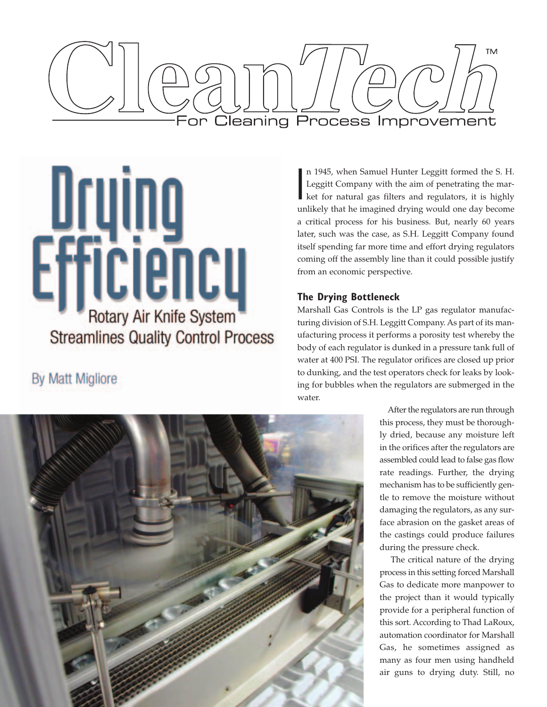



# **By Matt Migliore**

I n 1945, when Samuel Hunter Leggitt formed the S. H. Leggitt Company with the aim of penetrating the market for natural gas filters and regulators, it is highly unlikely that he imagined drying would one day become a critical process for his business. But, nearly 60 years later, such was the case, as S.H. Leggitt Company found itself spending far more time and effort drying regulators coming off the assembly line than it could possible justify from an economic perspective.

## **The Drying Bottleneck**

Marshall Gas Controls is the LP gas regulator manufacturing division of S.H. Leggitt Company. As part of its manufacturing process it performs a porosity test whereby the body of each regulator is dunked in a pressure tank full of water at 400 PSI. The regulator orifices are closed up prior to dunking, and the test operators check for leaks by looking for bubbles when the regulators are submerged in the water.



After the regulators are run through this process, they must be thoroughly dried, because any moisture left in the orifices after the regulators are assembled could lead to false gas flow rate readings. Further, the drying mechanism has to be sufficiently gentle to remove the moisture without damaging the regulators, as any surface abrasion on the gasket areas of the castings could produce failures during the pressure check.

The critical nature of the drying process in this setting forced Marshall Gas to dedicate more manpower to the project than it would typically provide for a peripheral function of this sort. According to Thad LaRoux, automation coordinator for Marshall Gas, he sometimes assigned as many as four men using handheld air guns to drying duty. Still, no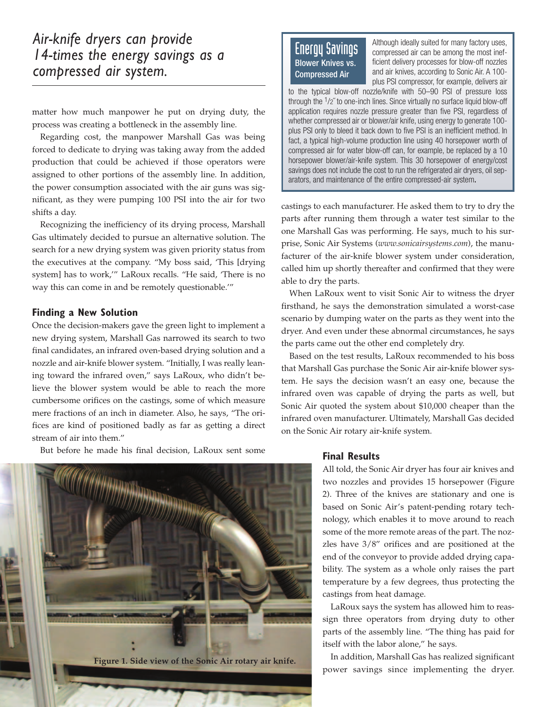matter how much manpower he put on drying duty, the process was creating a bottleneck in the assembly line.

Regarding cost, the manpower Marshall Gas was being forced to dedicate to drying was taking away from the added production that could be achieved if those operators were assigned to other portions of the assembly line. In addition, the power consumption associated with the air guns was significant, as they were pumping 100 PSI into the air for two shifts a day.

Recognizing the inefficiency of its drying process, Marshall Gas ultimately decided to pursue an alternative solution. The search for a new drying system was given priority status from the executives at the company. "My boss said, 'This [drying system] has to work,'" LaRoux recalls. "He said, 'There is no way this can come in and be remotely questionable.'"

### **Finding a New Solution**

Once the decision-makers gave the green light to implement a new drying system, Marshall Gas narrowed its search to two final candidates, an infrared oven-based drying solution and a nozzle and air-knife blower system. "Initially, I was really leaning toward the infrared oven," says LaRoux, who didn't believe the blower system would be able to reach the more cumbersome orifices on the castings, some of which measure mere fractions of an inch in diameter. Also, he says, "The orifices are kind of positioned badly as far as getting a direct stream of air into them."

But before he made his final decision, LaRoux sent some



## Energy Savings Blower Knives vs. Compressed Air

Although ideally suited for many factory uses, compressed air can be among the most inefficient delivery processes for blow-off nozzles and air knives, according to Sonic Air. A 100 plus PSI compressor, for example, delivers air

to the typical blow-off nozzle/knife with 50–90 PSI of pressure loss through the 1/2˝ to one-inch lines. Since virtually no surface liquid blow-off application requires nozzle pressure greater than five PSI, regardless of whether compressed air or blower/air knife, using energy to generate 100 plus PSI only to bleed it back down to five PSI is an inefficient method. In fact, a typical high-volume production line using 40 horsepower worth of compressed air for water blow-off can, for example, be replaced by a 10 horsepower blower/air-knife system. This 30 horsepower of energy/cost savings does not include the cost to run the refrigerated air dryers, oil separators, and maintenance of the entire compressed-air system.

castings to each manufacturer. He asked them to try to dry the parts after running them through a water test similar to the one Marshall Gas was performing. He says, much to his surprise, Sonic Air Systems (*www.sonicairsystems.com*), the manufacturer of the air-knife blower system under consideration, called him up shortly thereafter and confirmed that they were able to dry the parts.

When LaRoux went to visit Sonic Air to witness the dryer firsthand, he says the demonstration simulated a worst-case scenario by dumping water on the parts as they went into the dryer. And even under these abnormal circumstances, he says the parts came out the other end completely dry.

Based on the test results, LaRoux recommended to his boss that Marshall Gas purchase the Sonic Air air-knife blower system. He says the decision wasn't an easy one, because the infrared oven was capable of drying the parts as well, but Sonic Air quoted the system about \$10,000 cheaper than the infrared oven manufacturer. Ultimately, Marshall Gas decided on the Sonic Air rotary air-knife system.

#### **Final Results**

All told, the Sonic Air dryer has four air knives and two nozzles and provides 15 horsepower (Figure 2). Three of the knives are stationary and one is based on Sonic Air's patent-pending rotary technology, which enables it to move around to reach some of the more remote areas of the part. The nozzles have 3/8" orifices and are positioned at the end of the conveyor to provide added drying capability. The system as a whole only raises the part temperature by a few degrees, thus protecting the castings from heat damage.

LaRoux says the system has allowed him to reassign three operators from drying duty to other parts of the assembly line. "The thing has paid for itself with the labor alone," he says.

In addition, Marshall Gas has realized significant power savings since implementing the dryer.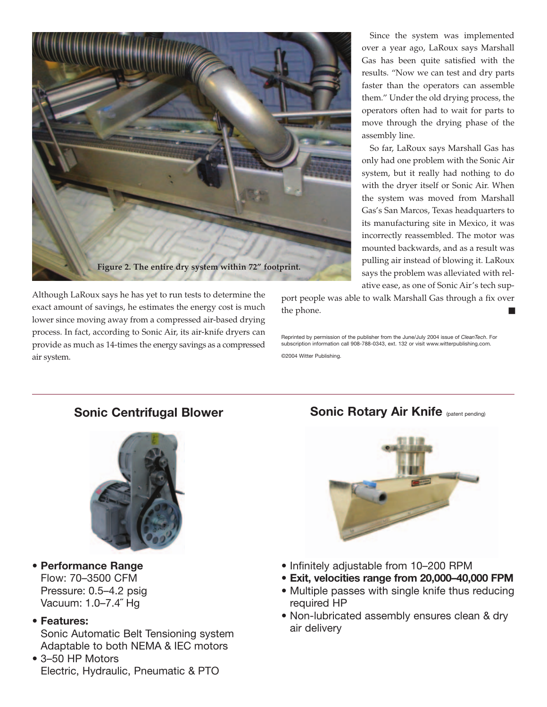

Since the system was implemented over a year ago, LaRoux says Marshall Gas has been quite satisfied with the results. "Now we can test and dry parts faster than the operators can assemble them." Under the old drying process, the operators often had to wait for parts to move through the drying phase of the assembly line.

So far, LaRoux says Marshall Gas has only had one problem with the Sonic Air system, but it really had nothing to do with the dryer itself or Sonic Air. When the system was moved from Marshall Gas's San Marcos, Texas headquarters to its manufacturing site in Mexico, it was incorrectly reassembled. The motor was mounted backwards, and as a result was pulling air instead of blowing it. LaRoux says the problem was alleviated with relative ease, as one of Sonic Air's tech sup-

port people was able to walk Marshall Gas through a fix over the phone.

Reprinted by permission of the publisher from the June/July 2004 issue of *CleanTech*. For subscription information call 908-788-0343, ext. 132 or visit www.witterpublishing.com.

©2004 Witter Publishing.

exact amount of savings, he estimates the energy cost is much lower since moving away from a compressed air-based drying process. In fact, according to Sonic Air, its air-knife dryers can provide as much as 14-times the energy savings as a compressed



## **• Performance Range** Flow: 70–3500 CFM Pressure: 0.5–4.2 psig Vacuum: 1.0–7.4˝ Hg

**• Features:**

air system.

Sonic Automatic Belt Tensioning system Adaptable to both NEMA & IEC motors

• 3–50 HP Motors Electric, Hydraulic, Pneumatic & PTO

## **Sonic Centrifugal Blower Sonic Rotary Air Knife** (patent pending)



- Infinitely adjustable from 10–200 RPM
- **Exit, velocities range from 20,000–40,000 FPM**
- Multiple passes with single knife thus reducing required HP
- Non-lubricated assembly ensures clean & dry air delivery